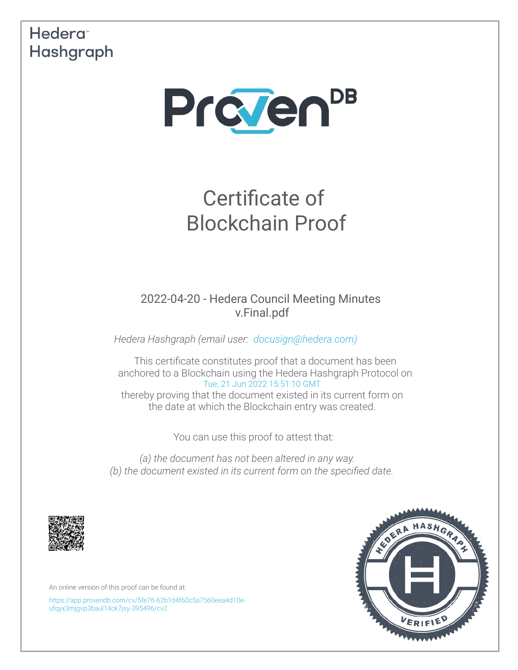## Hedera<sup>®</sup> Hashgraph



# Certificate of Blockchain Proof

2022-04-20 - Hedera Council Meeting Minutes v.Final.pdf

*Hedera Hashgraph (email user: [docusign@hedera.com\)](mailto:docusign@hedera.com)*

This certifcate constitutes proof that a document has been anchored to a Blockchain using the Hedera Hashgraph Protocol on [Tue, 21 Jun 2022 15:51:10 GMT](https://www.timeanddate.com/worldclock/converter.html?iso=20220621T155110000&p1=1440&p2=152&p3=136&p4=179&p5=137&p6=33&p7=248) thereby proving that the document existed in its current form on the date at which the Blockchain entry was created.

You can use this proof to attest that:

*(a) the document has not been altered in any way. (b) the document existed in its current form on the specifed date.*



An online version of this proof can be found at:

[https://app.provendb.com/cv/5fe76-62b1d4f60c5a7560eea4d10e](https://app.provendb.com/cv/5fe76-62b1d4f60c5a7560eea4d10e-ufqyx3mjgvp3baul14ck7jsy-395496/cv2)[ufqyx3mjgvp3baul14ck7jsy-395496/cv2](https://app.provendb.com/cv/5fe76-62b1d4f60c5a7560eea4d10e-ufqyx3mjgvp3baul14ck7jsy-395496/cv2)

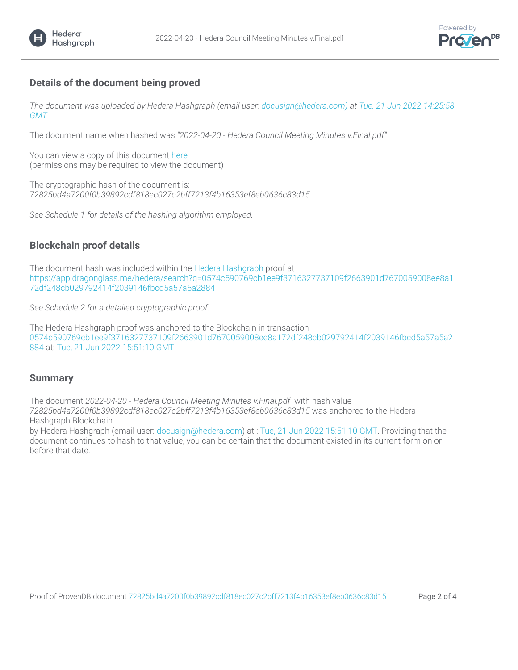

### **Details of the document being proved**

Hedera<sup>®</sup> Hashgraph

*The document was uploaded by Hedera Hashgraph (email user: docusign@hedera.com) at [Tue, 21 Jun 2022 14:25:58](https://www.timeanddate.com/worldclock/converter.html?iso=20220621T142558402&p1=1440&p2=152&p3=136&p4=179&p5=137&p6=33&p7=248)  [GMT](https://www.timeanddate.com/worldclock/converter.html?iso=20220621T142558402&p1=1440&p2=152&p3=136&p4=179&p5=137&p6=33&p7=248)*

The document name when hashed was *"2022-04-20 - Hedera Council Meeting Minutes v.Final.pdf"*

You can view a copy of this document [here](https://app.provendb.com/cv/5fe76-62b1d4f60c5a7560eea4d10e-ufqyx3mjgvp3baul14ck7jsy-395496/cv2) (permissions may be required to view the document)

The cryptographic hash of the document is: *72825bd4a7200f0b39892cdf818ec027c2bff7213f4b16353ef8eb0636c83d15*

*See Schedule 1 for details of the hashing algorithm employed.*

#### **Blockchain proof details**

The document hash was included within the [Hedera Hashgraph proof at](https://www.hedera.com/) [https://app.dragonglass.me/hedera/search?q=0574c590769cb1ee9f3716327737109f2663901d7670059008ee8a1](https://app.dragonglass.me/hedera/search?q=0574c590769cb1ee9f3716327737109f2663901d7670059008ee8a172df248cb029792414f2039146fbcd5a57a5a2884) [72df248cb029792414f2039146fbcd5a57a5a2884](https://app.dragonglass.me/hedera/search?q=0574c590769cb1ee9f3716327737109f2663901d7670059008ee8a172df248cb029792414f2039146fbcd5a57a5a2884)

*See Schedule 2 for a detailed cryptographic proof.*

The Hedera Hashgraph proof was anchored to the Blockchain in transaction [0574c590769cb1ee9f3716327737109f2663901d7670059008ee8a172df248cb029792414f2039146fbcd5a57a5a2](https://app.dragonglass.me/hedera/search?q=0574c590769cb1ee9f3716327737109f2663901d7670059008ee8a172df248cb029792414f2039146fbcd5a57a5a2884) [884 at:](https://app.dragonglass.me/hedera/search?q=0574c590769cb1ee9f3716327737109f2663901d7670059008ee8a172df248cb029792414f2039146fbcd5a57a5a2884) [Tue, 21 Jun 2022 15:51:10 GMT](https://www.timeanddate.com/worldclock/converter.html?iso=20220621T155110000&p1=1440&p2=152&p3=136&p4=179&p5=137&p6=33&p7=248)

#### **Summary**

The document *2022-04-20 - Hedera Council Meeting Minutes v.Final.pdf* with hash value *72825bd4a7200f0b39892cdf818ec027c2bff7213f4b16353ef8eb0636c83d15* was anchored to the Hedera Hashgraph Blockchain

by Hedera Hashgraph (email user: [docusign@hedera.com\) at :](mailto:docusign@hedera.com) [Tue, 21 Jun 2022 15:51:10 GMT. Providing that the](https://www.timeanddate.com/worldclock/converter.html?iso=20220621T155110000&p1=1440&p2=152&p3=136&p4=179&p5=137&p6=33&p7=248)  [document continues to hash to that value, you can be certain that the document existed in its current form on or](https://www.timeanddate.com/worldclock/converter.html?iso=20220621T155110000&p1=1440&p2=152&p3=136&p4=179&p5=137&p6=33&p7=248)  [before that date.](https://www.timeanddate.com/worldclock/converter.html?iso=20220621T155110000&p1=1440&p2=152&p3=136&p4=179&p5=137&p6=33&p7=248)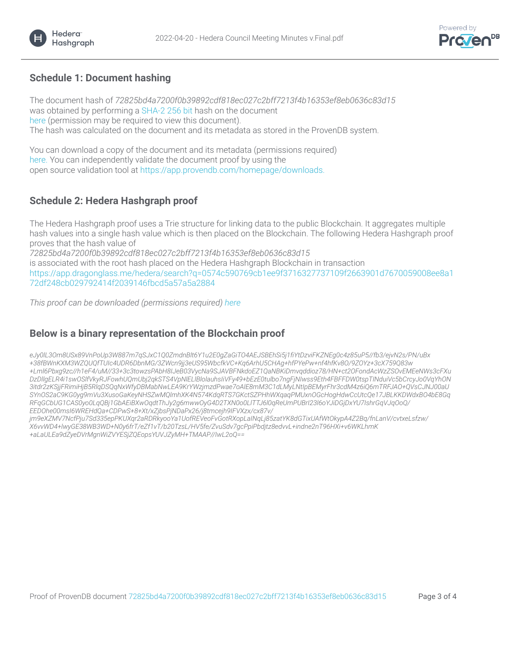

#### **Schedule 1: Document hashing**

The document hash of *72825bd4a7200f0b39892cdf818ec027c2bff7213f4b16353ef8eb0636c83d15* was obtained by performing a [SHA-2 256 bit hash on the document](https://en.wikipedia.org/wiki/SHA-2)  [here \(permission may be required to view this document\).](https://app.provendb.com/cv/5fe76-62b1d4f60c5a7560eea4d10e-ufqyx3mjgvp3baul14ck7jsy-395496/cv2) The hash was calculated on the document and its metadata as stored in the ProvenDB system.

You can download a copy of the document and its metadata (permissions required) [here. You can independently validate the document proof by using the](https://app.provendb.com/share/5fe76-62b1d4f60c5a7560eea4d10e-ufqyx3mjgvp3baul14ck7jsy-395496/cv2) open source validation tool at [https://app.provendb.com/homepage/downloads.](https://app.provendb.com/homepage/downloads)

#### **Schedule 2: Hedera Hashgraph proof**

The Hedera Hashgraph proof uses a Trie structure for linking data to the public Blockchain. It aggregates multiple hash values into a single hash value which is then placed on the Blockchain. The following Hedera Hashgraph proof proves that the hash value of

*72825bd4a7200f0b39892cdf818ec027c2bff7213f4b16353ef8eb0636c83d15* is associated with the root hash placed on the Hedera Hashgraph Blockchain in transaction [https://app.dragonglass.me/hedera/search?q=0574c590769cb1ee9f3716327737109f2663901d7670059008ee8a1](https://app.dragonglass.me/hedera/search?q=0574c590769cb1ee9f3716327737109f2663901d7670059008ee8a172df248cb029792414f2039146fbcd5a57a5a2884) [72df248cb029792414f2039146fbcd5a57a5a2884](https://app.dragonglass.me/hedera/search?q=0574c590769cb1ee9f3716327737109f2663901d7670059008ee8a172df248cb029792414f2039146fbcd5a57a5a2884)

*This proof can be downloaded (permissions required) [here](https://app.provendb.com/cv/5fe76-62b1d4f60c5a7560eea4d10e-ufqyx3mjgvp3baul14ck7jsy-395496/cv2)*

#### **Below is a binary representation of the Blockchain proof**

*eJy0lL3Om8USx89VnPoUp3W887m7qSJxC1Q0ZmdnBlt6Y1u2E0gZaGiTO4AEJSBEhSi5j1fYtDzviFKZNEg0c4z85uP5//fb3/ejvN2s/PN/uBx +38fBWnKXM3WZQUQfTUIc4UDR6DbnMG/3ZWcn9jj3eUS95WbcfkVC+Kq6ArhU5CHAg+hfPYePw+nf4hfKv8O/9ZOYz+3cX759Q83w +Lml6Pbxg9zc//h1eF4/uM//33+3c3towzsPAbH8IJeB03VycNa9SJAVBFNkdoEZ1QaNBKiDmvqddioz78/HN+ct2OFondAcWzZSOvEMEeNWs3cFXu DzDllgELR4i1swOSlfVkyRJFowhUQmUbj2qkSTS4VpNlELlBlolauhsIiVFy49+bEzE0tulbo7ngFjNIwss9Eth4FBFFDW0tspTINduiVc5bCrcyJo0VqYhON 3itdr2zKSjjFRimiHjB5RlqDSQqNxWfyDBMabNwLEA9KrYWzjmzdPwae7oAlE8mM3C1dLMyLNtIpBEMyrFhr3cdM4z6iQ6mTRFJAO+QVsCJNJ00aU SYnOS2aC9KG0yg9mVu3XusoGaKeyNHSZwMQlmhXK4N574KdqRTS7GKctSZPHhWXqaqPMUxnOGcHogHdwCcUtcQe17JBLKKDWdxBO4bE8Gq RFqGCbUG1CAS0yo0LqQBj1GbAEiBXwOqdtThJy2g6mwwOyG4D2TXN0o0LlTTJ6l0qReUmPUBrI23l6oYJiDGjDxYU7IshrGqVJqOoQ/ EEDOhe00msI6WREHdQa+CDPwS+8+Xt/xZjbsPjNDaPx26/j8tmcejh9IFVXzx/cx87v/*

*jm9eXZMV7NcfPju7Sd335epPKUXqr2aRDRkyooYa1UofREVeoFvGotRXopLaINqLj85zatYK8dGTixUAfWtOkypA4Z2Bq/fnLanV/cvtxeLsfzw/ X6vvWD4+lwyGE38WB3WD+N0y6frT/eZf1vT/b20TzsL/HV5fe/ZvuSdv7gcPpiPbdjtz8edvvL+indne2nT96HXi+v6WKLhmK +aLaULEa9dZyeDVrMgnWiZVYESjZQEopsYUVJZyMH+TMAAP//IwL2oQ==*